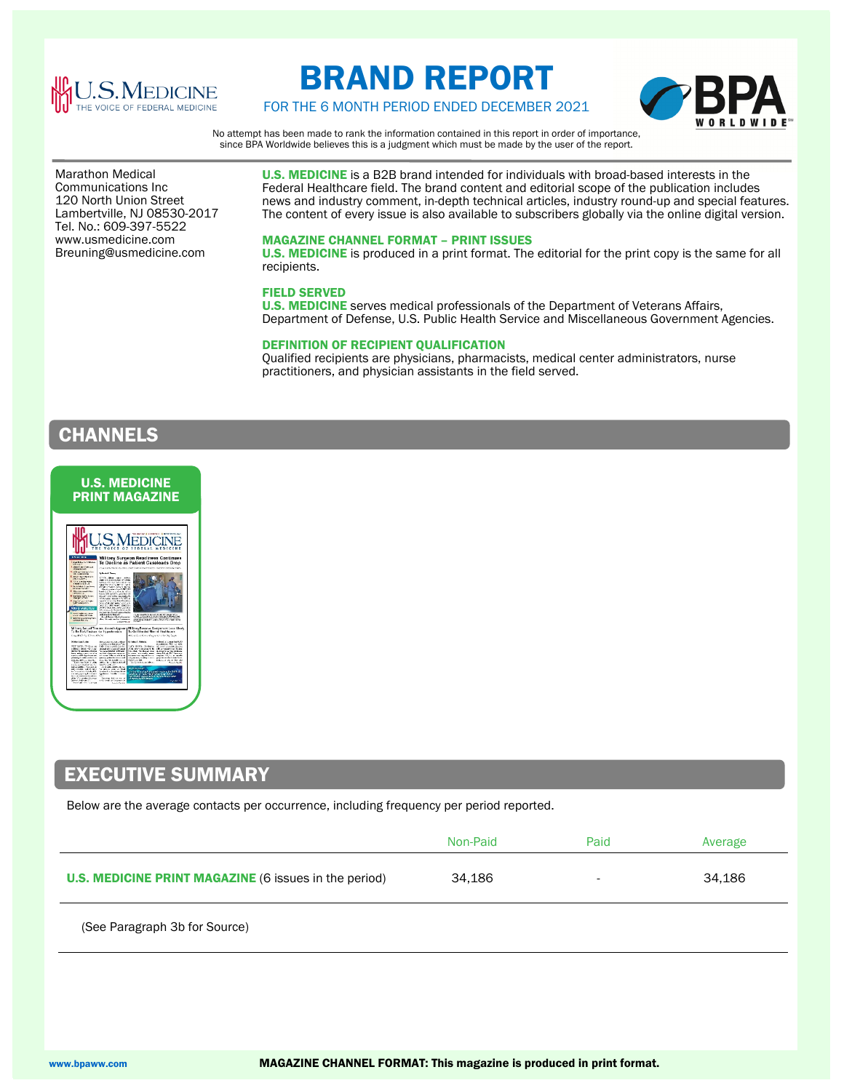

# BRAND REPORT

FOR THE 6 MONTH PERIOD ENDED DECEMBER 2021



No attempt has been made to rank the information contained in this report in order of importance, since BPA Worldwide believes this is a judgment which must be made by the user of the report.

 Communications Inc Marathon Medical 120 North Union Street Lambertville, NJ 08530-2017 Tel. No.: 609-397-5522 www.usmedicine.com Breuning@usmedicine.com

U.S. MEDICINE is a B2B brand intended for individuals with broad-based interests in the Federal Healthcare field. The brand content and editorial scope of the publication includes news and industry comment, in-depth technical articles, industry round-up and special features. The content of every issue is also available to subscribers globally via the online digital version.

### MAGAZINE CHANNEL FORMAT – PRINT ISSUES

U.S. MEDICINE is produced in a print format. The editorial for the print copy is the same for all recipients.

### FIELD SERVED

U.S. MEDICINE serves medical professionals of the Department of Veterans Affairs, Department of Defense, U.S. Public Health Service and Miscellaneous Government Agencies.

### DEFINITION OF RECIPIENT QUALIFICATION

Qualified recipients are physicians, pharmacists, medical center administrators, nurse practitioners, and physician assistants in the field served.

## **CHANNELS**



### EXECUTIVE SUMMARY

Below are the average contacts per occurrence, including frequency per period reported.

|                                                              | Non-Paid | Paid                     | Average |
|--------------------------------------------------------------|----------|--------------------------|---------|
| <b>U.S. MEDICINE PRINT MAGAZINE (6 issues in the period)</b> | 34,186   | $\overline{\phantom{0}}$ | 34.186  |

(See Paragraph 3b for Source)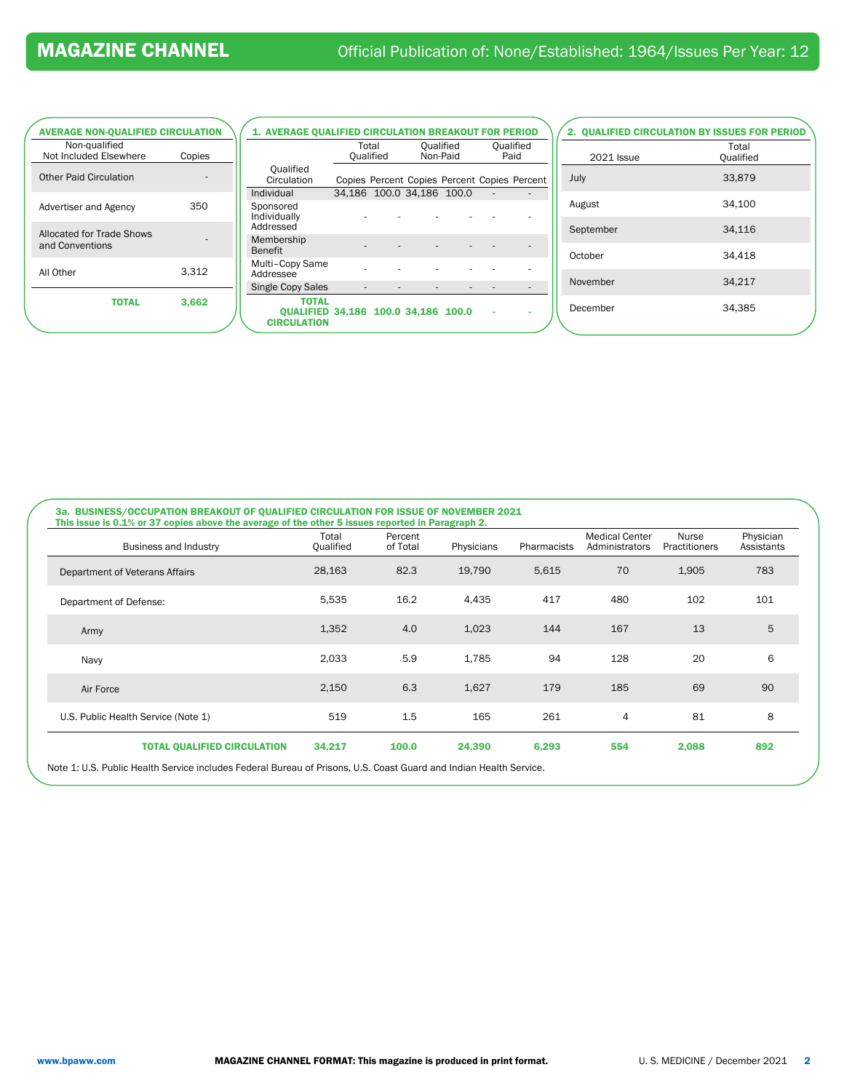| <b>AVERAGE NON-QUALIFIED CIRCULATION</b>     |        |         |
|----------------------------------------------|--------|---------|
| Non-qualified<br>Not Included Elsewhere      | Copies |         |
| <b>Other Paid Circulation</b>                |        |         |
| <b>Advertiser and Agency</b>                 | 350    | Iı<br>S |
| Allocated for Trade Shows<br>and Conventions |        | А<br>Е  |
| All Other                                    | 3,312  | А<br>S  |
| <b>TOTAL</b>                                 | 3,662  |         |
|                                              |        |         |

| <b>1. AVERAGE QUALIFIED CIRCULATION BREAKOUT FOR PERIOD</b>                      |                           |  |          |           |                   |                                              |
|----------------------------------------------------------------------------------|---------------------------|--|----------|-----------|-------------------|----------------------------------------------|
|                                                                                  | Total<br>Qualified        |  | Non-Paid | Qualified | Oualified<br>Paid |                                              |
| Qualified<br>Circulation                                                         |                           |  |          |           |                   | Copies Percent Copies Percent Copies Percent |
| Individual                                                                       | 34,186 100.0 34,186 100.0 |  |          |           |                   |                                              |
| Sponsored<br>Individually<br>Addressed                                           |                           |  |          |           |                   |                                              |
| Membership<br><b>Benefit</b>                                                     |                           |  |          |           |                   |                                              |
| Multi-Copy Same<br>Addressee                                                     |                           |  |          |           |                   |                                              |
| Single Copy Sales                                                                |                           |  |          |           |                   |                                              |
| <b>TOTAL</b><br><b>OUALIFIED 34.186 100.0 34.186 100.0</b><br><b>CIRCULATION</b> |                           |  |          |           |                   |                                              |

| 2. QUALIFIED CIRCULATION BY ISSUES FOR PERIOD<br>Total |           |  |  |  |  |
|--------------------------------------------------------|-----------|--|--|--|--|
| <b>2021 Issue</b>                                      | Qualified |  |  |  |  |
| July                                                   | 33,879    |  |  |  |  |
| August                                                 | 34,100    |  |  |  |  |
| September                                              | 34,116    |  |  |  |  |
| October                                                | 34,418    |  |  |  |  |
| November                                               | 34,217    |  |  |  |  |
| December                                               | 34,385    |  |  |  |  |
|                                                        |           |  |  |  |  |

| Business and Industry               | Total<br>Qualified | Percent<br>of Total | Physicians | <b>Pharmacists</b> | <b>Medical Center</b><br>Administrators | Nurse<br><b>Practitioners</b> | Physician<br>Assistants |
|-------------------------------------|--------------------|---------------------|------------|--------------------|-----------------------------------------|-------------------------------|-------------------------|
| Department of Veterans Affairs      | 28,163             | 82.3                | 19,790     | 5,615              | 70                                      | 1,905                         | 783                     |
| Department of Defense:              | 5,535              | 16.2                | 4,435      | 417                | 480                                     | 102                           | 101                     |
| Army                                | 1,352              | 4.0                 | 1,023      | 144                | 167                                     | 13                            | 5                       |
| Navy                                | 2,033              | 5.9                 | 1,785      | 94                 | 128                                     | 20                            | 6                       |
| Air Force                           | 2,150              | 6.3                 | 1,627      | 179                | 185                                     | 69                            | 90                      |
| U.S. Public Health Service (Note 1) | 519                | 1.5                 | 165        | 261                | $\overline{4}$                          | 81                            | 8                       |
| <b>TOTAL QUALIFIED CIRCULATION</b>  | 34,217             | 100.0               | 24,390     | 6,293              | 554                                     | 2,088                         | 892                     |

uard and Indian Health Service.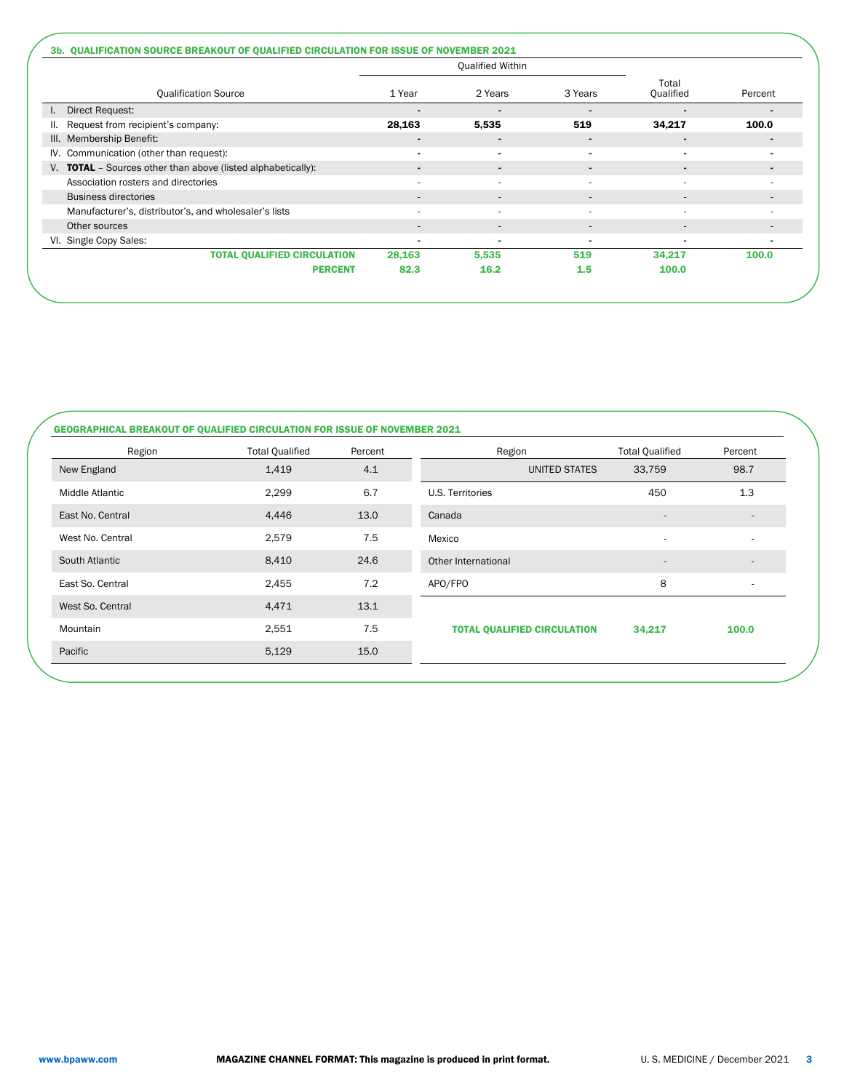|                                                                     | <b>Qualified Within</b>  |                          |                          |                          |                          |  |
|---------------------------------------------------------------------|--------------------------|--------------------------|--------------------------|--------------------------|--------------------------|--|
| <b>Qualification Source</b>                                         | 1 Year                   | 2 Years<br>3 Years       |                          | Total<br>Qualified       | Percent                  |  |
| Direct Request:                                                     |                          | $\blacksquare$           |                          |                          |                          |  |
| Request from recipient's company:                                   | 28,163                   | 5,535                    | 519                      | 34,217                   | 100.0                    |  |
| III. Membership Benefit:                                            | $\overline{\phantom{a}}$ | $\blacksquare$           | $\blacksquare$           | $\blacksquare$           |                          |  |
| IV. Communication (other than request):                             | $\blacksquare$           | $\blacksquare$           | $\blacksquare$           | -                        |                          |  |
| V. <b>TOTAL</b> - Sources other than above (listed alphabetically): | $\overline{\phantom{a}}$ | $\blacksquare$           | $\blacksquare$           | -                        |                          |  |
| Association rosters and directories                                 |                          | $\overline{\phantom{a}}$ | ٠                        | ۰                        |                          |  |
| <b>Business directories</b>                                         | $\overline{\phantom{a}}$ | $\overline{\phantom{a}}$ | $\overline{\phantom{a}}$ | $\overline{\phantom{a}}$ |                          |  |
| Manufacturer's, distributor's, and wholesaler's lists               | $\overline{a}$           | ٠                        | $\overline{\phantom{a}}$ | ۰                        | $\overline{\phantom{a}}$ |  |
| Other sources                                                       | $\overline{\phantom{a}}$ | $\overline{\phantom{a}}$ | $\overline{\phantom{a}}$ | $\overline{\phantom{a}}$ | $\overline{\phantom{a}}$ |  |
| VI. Single Copy Sales:                                              | $\blacksquare$           | $\blacksquare$           | $\overline{\phantom{0}}$ | $\blacksquare$           | $\blacksquare$           |  |
| <b>TOTAL QUALIFIED CIRCULATION</b>                                  | 28,163                   | 5,535                    | 519                      | 34,217                   | 100.0                    |  |
| <b>PERCENT</b>                                                      | 82.3                     | 16.2                     | 1.5                      | 100.0                    |                          |  |

### GEOGRAPHICAL BREAKOUT OF QUALIFIED CIRCULATION FOR ISSUE OF NOVEMBER 2021

| Region           | <b>Total Qualified</b> | Percent | Region                             | <b>Total Qualified</b>       | Percent                  |
|------------------|------------------------|---------|------------------------------------|------------------------------|--------------------------|
| New England      | 1,419                  | 4.1     | UNITED STATES                      | 33,759                       | 98.7                     |
| Middle Atlantic  | 2,299                  | 6.7     | U.S. Territories                   | 450                          | 1.3                      |
| East No. Central | 4,446                  | 13.0    | Canada                             | $\overline{\phantom{a}}$     | $\overline{\phantom{a}}$ |
| West No. Central | 2,579                  | 7.5     | Mexico                             | $\overline{\phantom{a}}$     | ٠                        |
| South Atlantic   | 8,410                  | 24.6    | Other International                | $\qquad \qquad \blacksquare$ | $\overline{a}$           |
| East So. Central | 2,455                  | 7.2     | APO/FPO                            | 8                            | ٠                        |
| West So. Central | 4,471                  | 13.1    |                                    |                              |                          |
| Mountain         | 2,551                  | 7.5     | <b>TOTAL QUALIFIED CIRCULATION</b> | 34,217                       | 100.0                    |
| Pacific          | 5,129                  | 15.0    |                                    |                              |                          |